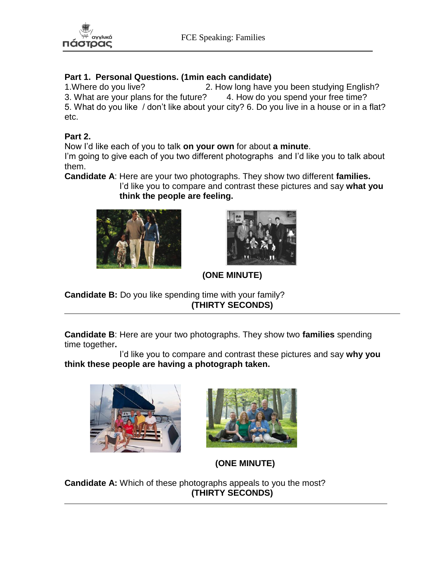

### **Part 1. Personal Questions. (1min each candidate)**

1.Where do you live? 2. How long have you been studying English? 3. What are your plans for the future? 4. How do you spend your free time? 5. What do you like / don't like about your city? 6. Do you live in a house or in a flat? etc.

#### **Part 2.**

Now I'd like each of you to talk **on your own** for about **a minute**.

I'm going to give each of you two different photographs and I'd like you to talk about them.

**Candidate A**: Here are your two photographs. They show two different **families.**

 I'd like you to compare and contrast these pictures and say **what you think the people are feeling.**





**(ONE MINUTE)**

**Candidate B:** Do you like spending time with your family? **(THIRTY SECONDS)**

**Candidate B**: Here are your two photographs. They show two **families** spending time together**.** 

 I'd like you to compare and contrast these pictures and say **why you think these people are having a photograph taken.** 





**(ONE MINUTE)**

**Candidate A:** Which of these photographs appeals to you the most? **(THIRTY SECONDS)**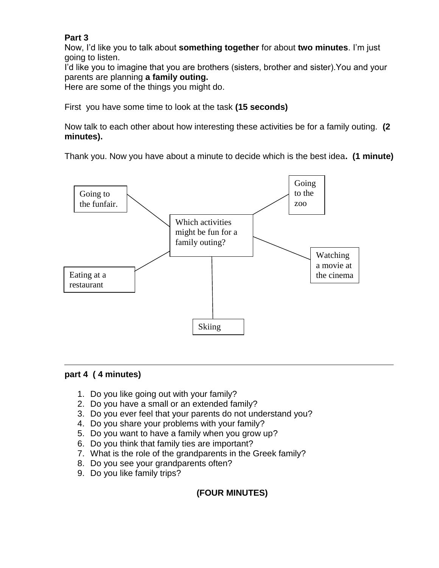### **Part 3**

Now, I'd like you to talk about **something together** for about **two minutes**. I'm just going to listen.

I'd like you to imagine that you are brothers (sisters, brother and sister).You and your parents are planning **a family outing.**

Here are some of the things you might do.

First you have some time to look at the task **(15 seconds)**

Now talk to each other about how interesting these activities be for a family outing. **(2 minutes).**

Thank you. Now you have about a minute to decide which is the best idea**. (1 minute)**



#### **part 4 ( 4 minutes)**

- 1. Do you like going out with your family?
- 2. Do you have a small or an extended family?
- 3. Do you ever feel that your parents do not understand you?
- 4. Do you share your problems with your family?
- 5. Do you want to have a family when you grow up?
- 6. Do you think that family ties are important?
- 7. What is the role of the grandparents in the Greek family?
- 8. Do you see your grandparents often?
- 9. Do you like family trips?

# **(FOUR MINUTES)**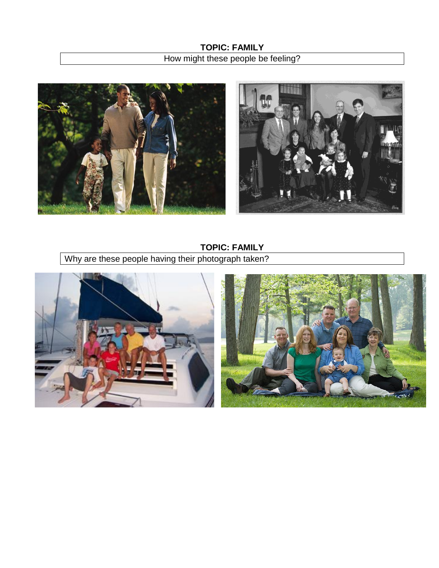



**TOPIC: FAMILY**

Why are these people having their photograph taken?